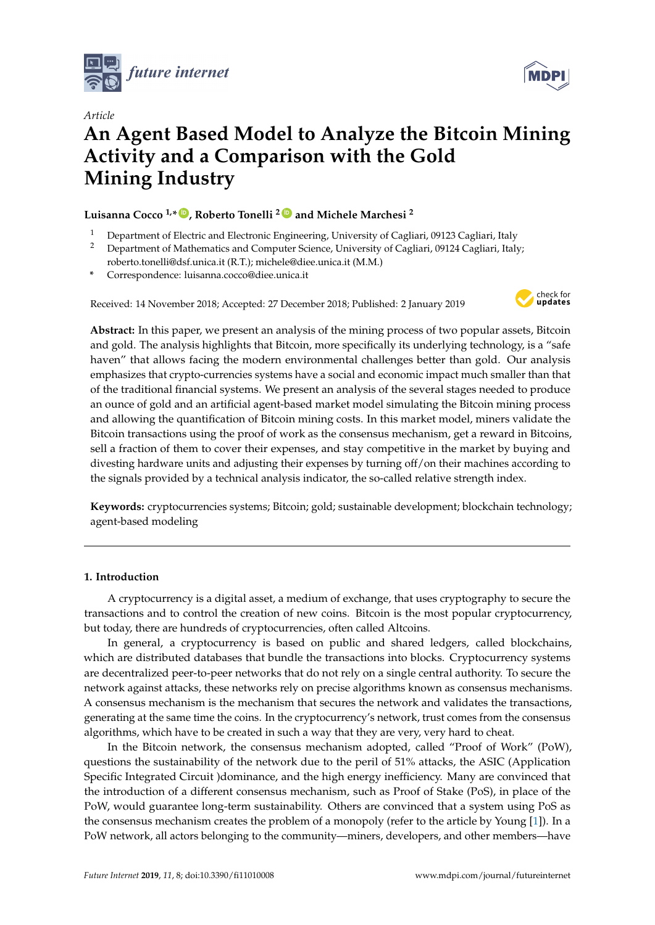

*Article*



# **An Agent Based Model to Analyze the Bitcoin Mining Activity and a Comparison with the Gold Mining Industry**

## **Luisanna Cocco 1,\* [ID](https://orcid.org/0000-0002-5055-9166) , Roberto Tonelli <sup>2</sup> [ID](https://orcid.org/0000-0002-9090-7698) and Michele Marchesi <sup>2</sup>**

- <sup>1</sup> Department of Electric and Electronic Engineering, University of Cagliari, 09123 Cagliari, Italy<br><sup>2</sup> Department of Mathematics and Computer Science, University of Cagliari, 09124 Cagliari, Italy
- <sup>2</sup> Department of Mathematics and Computer Science, University of Cagliari, 09124 Cagliari, Italy; roberto.tonelli@dsf.unica.it (R.T.); michele@diee.unica.it (M.M.)
- **\*** Correspondence: luisanna.cocco@diee.unica.it

Received: 14 November 2018; Accepted: 27 December 2018; Published: 2 January 2019



**Abstract:** In this paper, we present an analysis of the mining process of two popular assets, Bitcoin and gold. The analysis highlights that Bitcoin, more specifically its underlying technology, is a "safe haven" that allows facing the modern environmental challenges better than gold. Our analysis emphasizes that crypto-currencies systems have a social and economic impact much smaller than that of the traditional financial systems. We present an analysis of the several stages needed to produce an ounce of gold and an artificial agent-based market model simulating the Bitcoin mining process and allowing the quantification of Bitcoin mining costs. In this market model, miners validate the Bitcoin transactions using the proof of work as the consensus mechanism, get a reward in Bitcoins, sell a fraction of them to cover their expenses, and stay competitive in the market by buying and divesting hardware units and adjusting their expenses by turning off/on their machines according to the signals provided by a technical analysis indicator, the so-called relative strength index.

**Keywords:** cryptocurrencies systems; Bitcoin; gold; sustainable development; blockchain technology; agent-based modeling

## **1. Introduction**

A cryptocurrency is a digital asset, a medium of exchange, that uses cryptography to secure the transactions and to control the creation of new coins. Bitcoin is the most popular cryptocurrency, but today, there are hundreds of cryptocurrencies, often called Altcoins.

In general, a cryptocurrency is based on public and shared ledgers, called blockchains, which are distributed databases that bundle the transactions into blocks. Cryptocurrency systems are decentralized peer-to-peer networks that do not rely on a single central authority. To secure the network against attacks, these networks rely on precise algorithms known as consensus mechanisms. A consensus mechanism is the mechanism that secures the network and validates the transactions, generating at the same time the coins. In the cryptocurrency's network, trust comes from the consensus algorithms, which have to be created in such a way that they are very, very hard to cheat.

In the Bitcoin network, the consensus mechanism adopted, called "Proof of Work" (PoW), questions the sustainability of the network due to the peril of 51% attacks, the ASIC (Application Specific Integrated Circuit )dominance, and the high energy inefficiency. Many are convinced that the introduction of a different consensus mechanism, such as Proof of Stake (PoS), in place of the PoW, would guarantee long-term sustainability. Others are convinced that a system using PoS as the consensus mechanism creates the problem of a monopoly (refer to the article by Young [\[1\]](#page-10-0)). In a PoW network, all actors belonging to the community—miners, developers, and other members—have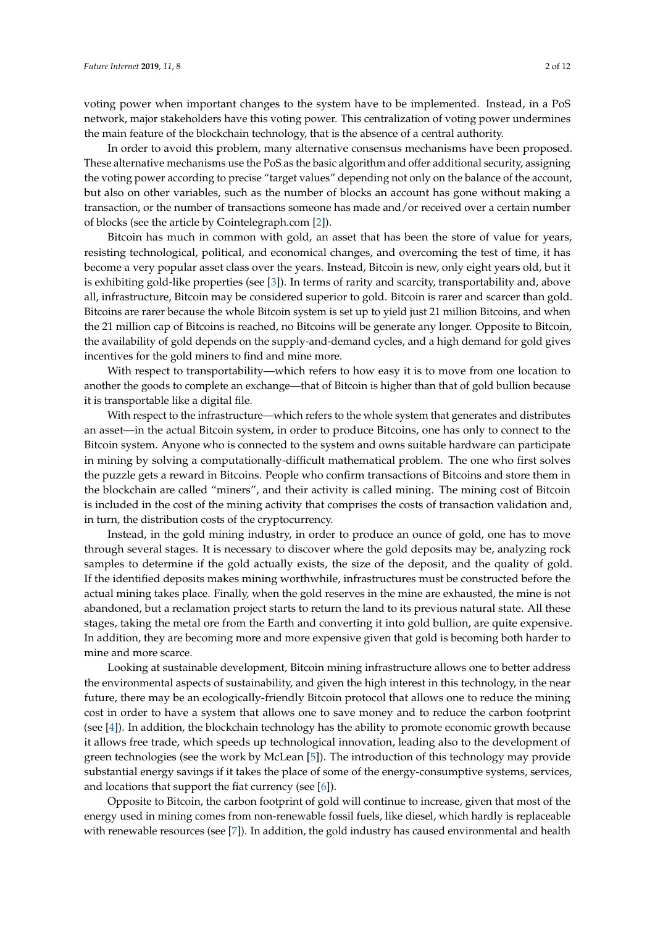voting power when important changes to the system have to be implemented. Instead, in a PoS network, major stakeholders have this voting power. This centralization of voting power undermines the main feature of the blockchain technology, that is the absence of a central authority.

In order to avoid this problem, many alternative consensus mechanisms have been proposed. These alternative mechanisms use the PoS as the basic algorithm and offer additional security, assigning the voting power according to precise "target values" depending not only on the balance of the account, but also on other variables, such as the number of blocks an account has gone without making a transaction, or the number of transactions someone has made and/or received over a certain number of blocks (see the article by Cointelegraph.com [\[2\]](#page-10-1)).

Bitcoin has much in common with gold, an asset that has been the store of value for years, resisting technological, political, and economical changes, and overcoming the test of time, it has become a very popular asset class over the years. Instead, Bitcoin is new, only eight years old, but it is exhibiting gold-like properties (see [\[3\]](#page-10-2)). In terms of rarity and scarcity, transportability and, above all, infrastructure, Bitcoin may be considered superior to gold. Bitcoin is rarer and scarcer than gold. Bitcoins are rarer because the whole Bitcoin system is set up to yield just 21 million Bitcoins, and when the 21 million cap of Bitcoins is reached, no Bitcoins will be generate any longer. Opposite to Bitcoin, the availability of gold depends on the supply-and-demand cycles, and a high demand for gold gives incentives for the gold miners to find and mine more.

With respect to transportability—which refers to how easy it is to move from one location to another the goods to complete an exchange—that of Bitcoin is higher than that of gold bullion because it is transportable like a digital file.

With respect to the infrastructure—which refers to the whole system that generates and distributes an asset—in the actual Bitcoin system, in order to produce Bitcoins, one has only to connect to the Bitcoin system. Anyone who is connected to the system and owns suitable hardware can participate in mining by solving a computationally-difficult mathematical problem. The one who first solves the puzzle gets a reward in Bitcoins. People who confirm transactions of Bitcoins and store them in the blockchain are called "miners", and their activity is called mining. The mining cost of Bitcoin is included in the cost of the mining activity that comprises the costs of transaction validation and, in turn, the distribution costs of the cryptocurrency.

Instead, in the gold mining industry, in order to produce an ounce of gold, one has to move through several stages. It is necessary to discover where the gold deposits may be, analyzing rock samples to determine if the gold actually exists, the size of the deposit, and the quality of gold. If the identified deposits makes mining worthwhile, infrastructures must be constructed before the actual mining takes place. Finally, when the gold reserves in the mine are exhausted, the mine is not abandoned, but a reclamation project starts to return the land to its previous natural state. All these stages, taking the metal ore from the Earth and converting it into gold bullion, are quite expensive. In addition, they are becoming more and more expensive given that gold is becoming both harder to mine and more scarce.

Looking at sustainable development, Bitcoin mining infrastructure allows one to better address the environmental aspects of sustainability, and given the high interest in this technology, in the near future, there may be an ecologically-friendly Bitcoin protocol that allows one to reduce the mining cost in order to have a system that allows one to save money and to reduce the carbon footprint (see [\[4\]](#page-10-3)). In addition, the blockchain technology has the ability to promote economic growth because it allows free trade, which speeds up technological innovation, leading also to the development of green technologies (see the work by McLean [\[5\]](#page-10-4)). The introduction of this technology may provide substantial energy savings if it takes the place of some of the energy-consumptive systems, services, and locations that support the fiat currency (see [\[6\]](#page-10-5)).

Opposite to Bitcoin, the carbon footprint of gold will continue to increase, given that most of the energy used in mining comes from non-renewable fossil fuels, like diesel, which hardly is replaceable with renewable resources (see [\[7\]](#page-10-6)). In addition, the gold industry has caused environmental and health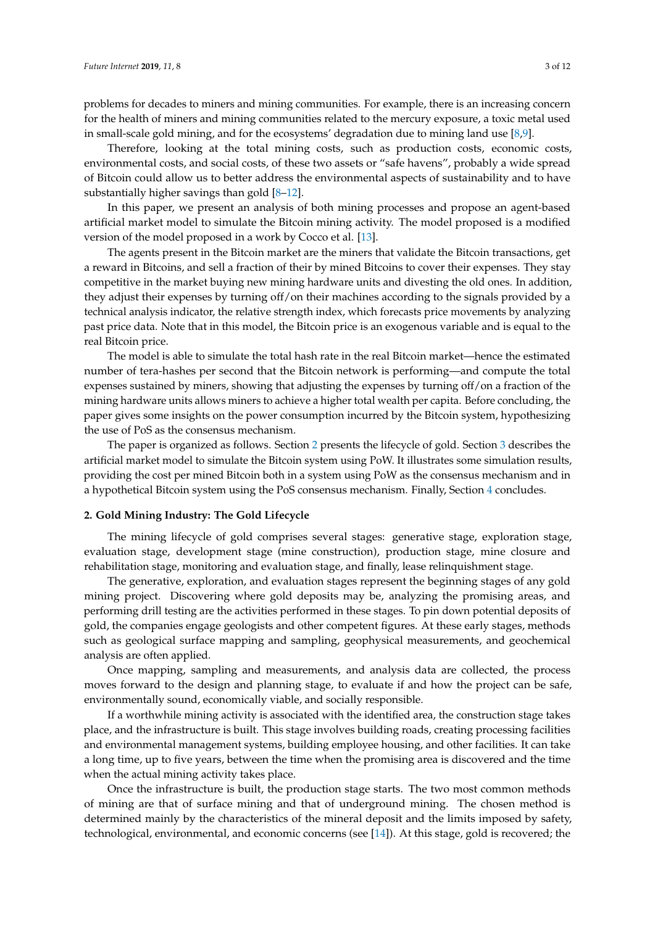problems for decades to miners and mining communities. For example, there is an increasing concern for the health of miners and mining communities related to the mercury exposure, a toxic metal used in small-scale gold mining, and for the ecosystems' degradation due to mining land use [\[8,](#page-10-7)[9\]](#page-10-8).

Therefore, looking at the total mining costs, such as production costs, economic costs, environmental costs, and social costs, of these two assets or "safe havens", probably a wide spread of Bitcoin could allow us to better address the environmental aspects of sustainability and to have substantially higher savings than gold  $[8-12]$  $[8-12]$ .

In this paper, we present an analysis of both mining processes and propose an agent-based artificial market model to simulate the Bitcoin mining activity. The model proposed is a modified version of the model proposed in a work by Cocco et al. [\[13\]](#page-10-10).

The agents present in the Bitcoin market are the miners that validate the Bitcoin transactions, get a reward in Bitcoins, and sell a fraction of their by mined Bitcoins to cover their expenses. They stay competitive in the market buying new mining hardware units and divesting the old ones. In addition, they adjust their expenses by turning off/on their machines according to the signals provided by a technical analysis indicator, the relative strength index, which forecasts price movements by analyzing past price data. Note that in this model, the Bitcoin price is an exogenous variable and is equal to the real Bitcoin price.

The model is able to simulate the total hash rate in the real Bitcoin market—hence the estimated number of tera-hashes per second that the Bitcoin network is performing—and compute the total expenses sustained by miners, showing that adjusting the expenses by turning off/on a fraction of the mining hardware units allows miners to achieve a higher total wealth per capita. Before concluding, the paper gives some insights on the power consumption incurred by the Bitcoin system, hypothesizing the use of PoS as the consensus mechanism.

The paper is organized as follows. Section [2](#page-2-0) presents the lifecycle of gold. Section [3](#page-3-0) describes the artificial market model to simulate the Bitcoin system using PoW. It illustrates some simulation results, providing the cost per mined Bitcoin both in a system using PoW as the consensus mechanism and in a hypothetical Bitcoin system using the PoS consensus mechanism. Finally, Section [4](#page-9-0) concludes.

## <span id="page-2-0"></span>**2. Gold Mining Industry: The Gold Lifecycle**

The mining lifecycle of gold comprises several stages: generative stage, exploration stage, evaluation stage, development stage (mine construction), production stage, mine closure and rehabilitation stage, monitoring and evaluation stage, and finally, lease relinquishment stage.

The generative, exploration, and evaluation stages represent the beginning stages of any gold mining project. Discovering where gold deposits may be, analyzing the promising areas, and performing drill testing are the activities performed in these stages. To pin down potential deposits of gold, the companies engage geologists and other competent figures. At these early stages, methods such as geological surface mapping and sampling, geophysical measurements, and geochemical analysis are often applied.

Once mapping, sampling and measurements, and analysis data are collected, the process moves forward to the design and planning stage, to evaluate if and how the project can be safe, environmentally sound, economically viable, and socially responsible.

If a worthwhile mining activity is associated with the identified area, the construction stage takes place, and the infrastructure is built. This stage involves building roads, creating processing facilities and environmental management systems, building employee housing, and other facilities. It can take a long time, up to five years, between the time when the promising area is discovered and the time when the actual mining activity takes place.

Once the infrastructure is built, the production stage starts. The two most common methods of mining are that of surface mining and that of underground mining. The chosen method is determined mainly by the characteristics of the mineral deposit and the limits imposed by safety, technological, environmental, and economic concerns (see [\[14\]](#page-10-11)). At this stage, gold is recovered; the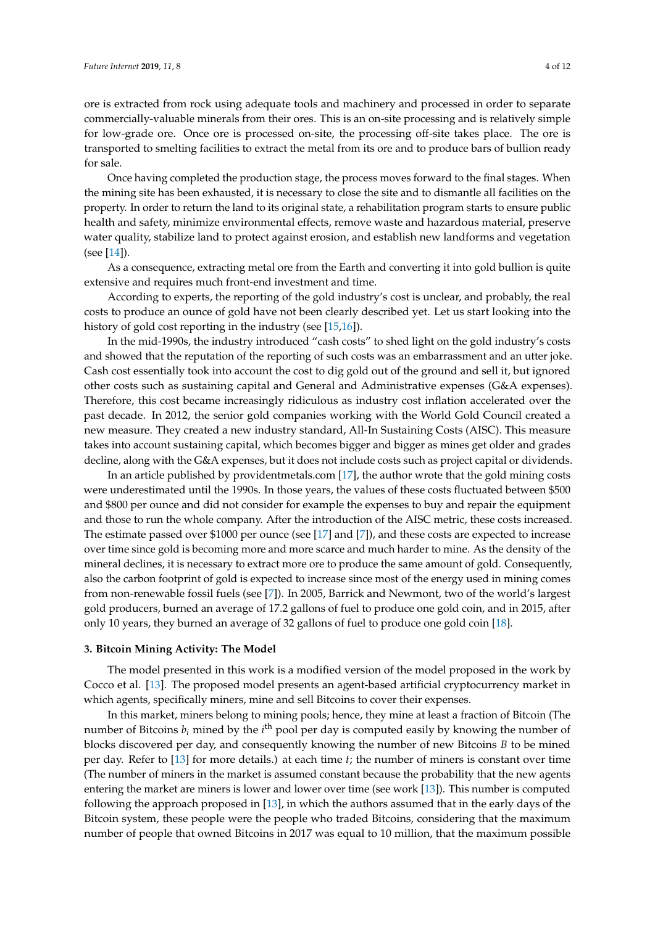ore is extracted from rock using adequate tools and machinery and processed in order to separate commercially-valuable minerals from their ores. This is an on-site processing and is relatively simple for low-grade ore. Once ore is processed on-site, the processing off-site takes place. The ore is transported to smelting facilities to extract the metal from its ore and to produce bars of bullion ready for sale.

Once having completed the production stage, the process moves forward to the final stages. When the mining site has been exhausted, it is necessary to close the site and to dismantle all facilities on the property. In order to return the land to its original state, a rehabilitation program starts to ensure public health and safety, minimize environmental effects, remove waste and hazardous material, preserve water quality, stabilize land to protect against erosion, and establish new landforms and vegetation (see [\[14\]](#page-10-11)).

As a consequence, extracting metal ore from the Earth and converting it into gold bullion is quite extensive and requires much front-end investment and time.

According to experts, the reporting of the gold industry's cost is unclear, and probably, the real costs to produce an ounce of gold have not been clearly described yet. Let us start looking into the history of gold cost reporting in the industry (see [\[15,](#page-10-12)[16\]](#page-11-0)).

In the mid-1990s, the industry introduced "cash costs" to shed light on the gold industry's costs and showed that the reputation of the reporting of such costs was an embarrassment and an utter joke. Cash cost essentially took into account the cost to dig gold out of the ground and sell it, but ignored other costs such as sustaining capital and General and Administrative expenses (G&A expenses). Therefore, this cost became increasingly ridiculous as industry cost inflation accelerated over the past decade. In 2012, the senior gold companies working with the World Gold Council created a new measure. They created a new industry standard, All-In Sustaining Costs (AISC). This measure takes into account sustaining capital, which becomes bigger and bigger as mines get older and grades decline, along with the G&A expenses, but it does not include costs such as project capital or dividends.

In an article published by providentmetals.com [\[17\]](#page-11-1), the author wrote that the gold mining costs were underestimated until the 1990s. In those years, the values of these costs fluctuated between \$500 and \$800 per ounce and did not consider for example the expenses to buy and repair the equipment and those to run the whole company. After the introduction of the AISC metric, these costs increased. The estimate passed over \$1000 per ounce (see [\[17\]](#page-11-1) and [\[7\]](#page-10-6)), and these costs are expected to increase over time since gold is becoming more and more scarce and much harder to mine. As the density of the mineral declines, it is necessary to extract more ore to produce the same amount of gold. Consequently, also the carbon footprint of gold is expected to increase since most of the energy used in mining comes from non-renewable fossil fuels (see [\[7\]](#page-10-6)). In 2005, Barrick and Newmont, two of the world's largest gold producers, burned an average of 17.2 gallons of fuel to produce one gold coin, and in 2015, after only 10 years, they burned an average of 32 gallons of fuel to produce one gold coin [\[18\]](#page-11-2).

#### <span id="page-3-0"></span>**3. Bitcoin Mining Activity: The Model**

The model presented in this work is a modified version of the model proposed in the work by Cocco et al. [\[13\]](#page-10-10). The proposed model presents an agent-based artificial cryptocurrency market in which agents, specifically miners, mine and sell Bitcoins to cover their expenses.

In this market, miners belong to mining pools; hence, they mine at least a fraction of Bitcoin (The number of Bitcoins *b<sup>i</sup>* mined by the *i* th pool per day is computed easily by knowing the number of blocks discovered per day, and consequently knowing the number of new Bitcoins *B* to be mined per day. Refer to [\[13\]](#page-10-10) for more details.) at each time *t*; the number of miners is constant over time (The number of miners in the market is assumed constant because the probability that the new agents entering the market are miners is lower and lower over time (see work [\[13\]](#page-10-10)). This number is computed following the approach proposed in [\[13\]](#page-10-10), in which the authors assumed that in the early days of the Bitcoin system, these people were the people who traded Bitcoins, considering that the maximum number of people that owned Bitcoins in 2017 was equal to 10 million, that the maximum possible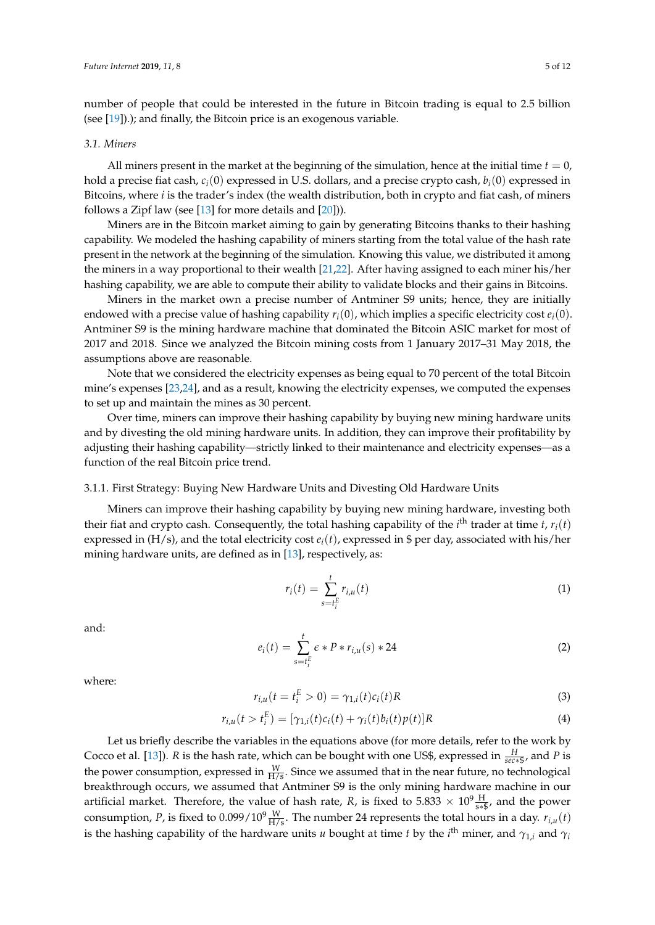number of people that could be interested in the future in Bitcoin trading is equal to 2.5 billion (see [\[19\]](#page-11-3)).); and finally, the Bitcoin price is an exogenous variable.

#### <span id="page-4-0"></span>*3.1. Miners*

All miners present in the market at the beginning of the simulation, hence at the initial time  $t = 0$ , hold a precise fiat cash, *ci*(0) expressed in U.S. dollars, and a precise crypto cash, *bi*(0) expressed in Bitcoins, where *i* is the trader's index (the wealth distribution, both in crypto and fiat cash, of miners follows a Zipf law (see [\[13\]](#page-10-10) for more details and [\[20\]](#page-11-4))).

Miners are in the Bitcoin market aiming to gain by generating Bitcoins thanks to their hashing capability. We modeled the hashing capability of miners starting from the total value of the hash rate present in the network at the beginning of the simulation. Knowing this value, we distributed it among the miners in a way proportional to their wealth [\[21,](#page-11-5)[22\]](#page-11-6). After having assigned to each miner his/her hashing capability, we are able to compute their ability to validate blocks and their gains in Bitcoins.

Miners in the market own a precise number of Antminer S9 units; hence, they are initially endowed with a precise value of hashing capability  $r_i(0)$ , which implies a specific electricity cost  $e_i(0)$ . Antminer S9 is the mining hardware machine that dominated the Bitcoin ASIC market for most of 2017 and 2018. Since we analyzed the Bitcoin mining costs from 1 January 2017–31 May 2018, the assumptions above are reasonable.

Note that we considered the electricity expenses as being equal to 70 percent of the total Bitcoin mine's expenses [\[23,](#page-11-7)[24\]](#page-11-8), and as a result, knowing the electricity expenses, we computed the expenses to set up and maintain the mines as 30 percent.

Over time, miners can improve their hashing capability by buying new mining hardware units and by divesting the old mining hardware units. In addition, they can improve their profitability by adjusting their hashing capability—strictly linked to their maintenance and electricity expenses—as a function of the real Bitcoin price trend.

## 3.1.1. First Strategy: Buying New Hardware Units and Divesting Old Hardware Units

Miners can improve their hashing capability by buying new mining hardware, investing both their fiat and crypto cash. Consequently, the total hashing capability of the  $i<sup>th</sup>$  trader at time  $t$ ,  $r<sub>i</sub>(t)$ expressed in (H/s), and the total electricity cost  $e_i(t)$ , expressed in \$ per day, associated with his/her mining hardware units, are defined as in [\[13\]](#page-10-10), respectively, as:

$$
r_i(t) = \sum_{s=t_i^E}^t r_{i,u}(t)
$$
 (1)

and:

$$
e_i(t) = \sum_{s=t_i^E}^{t} \epsilon * P * r_{i,u}(s) * 24
$$
 (2)

where:

$$
r_{i,u}(t = t_i^E > 0) = \gamma_{1,i}(t)c_i(t)R
$$
\n(3)

$$
r_{i,u}(t > t_i^E) = [\gamma_{1,i}(t)c_i(t) + \gamma_i(t)b_i(t)p(t)]R
$$
\n(4)

Let us briefly describe the variables in the equations above (for more details, refer to the work by Cocco et al. [\[13\]](#page-10-10)). *R* is the hash rate, which can be bought with one US\$, expressed in  $\frac{H}{sec*\$}$ , and *P* is the power consumption, expressed in  $\frac{W}{H/s}$ . Since we assumed that in the near future, no technological breakthrough occurs, we assumed that Antminer S9 is the only mining hardware machine in our artificial market. Therefore, the value of hash rate, *R*, is fixed to  $5.833 \times 10^9 \frac{H}{s * \$}$ , and the power consumption, *P*, is fixed to  $0.099/10^9 \frac{W}{H/s}$ . The number 24 represents the total hours in a day.  $r_{i,u}(t)$ is the hashing capability of the hardware units *u* bought at time *t* by the *i*<sup>th</sup> miner, and  $\gamma_{1,i}$  and  $\gamma_i$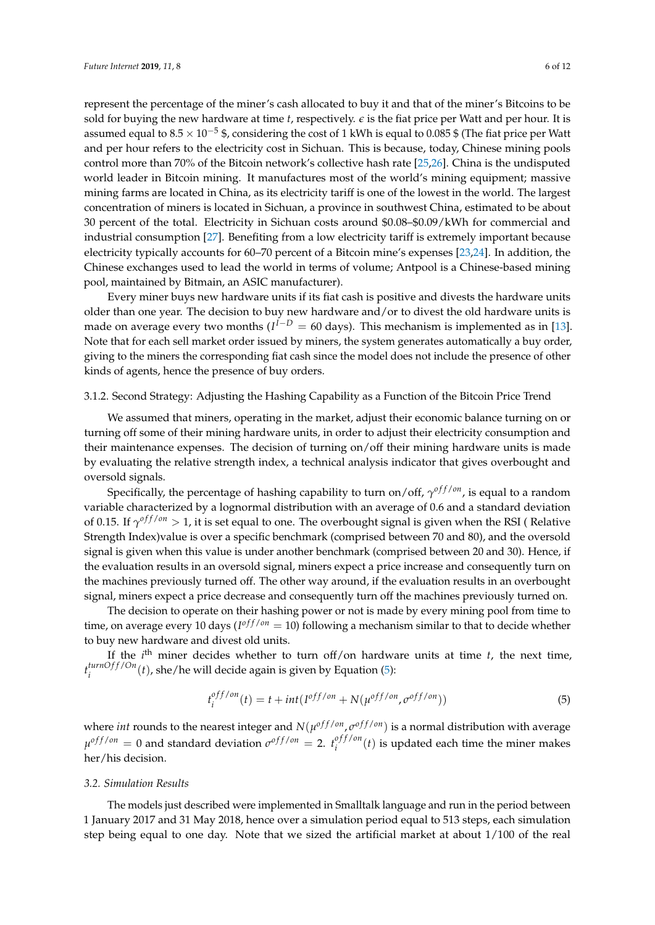represent the percentage of the miner's cash allocated to buy it and that of the miner's Bitcoins to be sold for buying the new hardware at time  $t$ , respectively.  $\epsilon$  is the fiat price per Watt and per hour. It is assumed equal to  $8.5 \times 10^{-5}$  \$, considering the cost of 1 kWh is equal to 0.085 \$ (The fiat price per Watt and per hour refers to the electricity cost in Sichuan. This is because, today, Chinese mining pools control more than 70% of the Bitcoin network's collective hash rate [\[25,](#page-11-9)[26\]](#page-11-10). China is the undisputed world leader in Bitcoin mining. It manufactures most of the world's mining equipment; massive mining farms are located in China, as its electricity tariff is one of the lowest in the world. The largest concentration of miners is located in Sichuan, a province in southwest China, estimated to be about 30 percent of the total. Electricity in Sichuan costs around \$0.08–\$0.09/kWh for commercial and industrial consumption [\[27\]](#page-11-11). Benefiting from a low electricity tariff is extremely important because electricity typically accounts for 60–70 percent of a Bitcoin mine's expenses [\[23](#page-11-7)[,24\]](#page-11-8). In addition, the Chinese exchanges used to lead the world in terms of volume; Antpool is a Chinese-based mining pool, maintained by Bitmain, an ASIC manufacturer).

Every miner buys new hardware units if its fiat cash is positive and divests the hardware units older than one year. The decision to buy new hardware and/or to divest the old hardware units is made on average every two months ( $I^{I-D} = 60$  days). This mechanism is implemented as in [\[13\]](#page-10-10). Note that for each sell market order issued by miners, the system generates automatically a buy order, giving to the miners the corresponding fiat cash since the model does not include the presence of other kinds of agents, hence the presence of buy orders.

#### 3.1.2. Second Strategy: Adjusting the Hashing Capability as a Function of the Bitcoin Price Trend

We assumed that miners, operating in the market, adjust their economic balance turning on or turning off some of their mining hardware units, in order to adjust their electricity consumption and their maintenance expenses. The decision of turning on/off their mining hardware units is made by evaluating the relative strength index, a technical analysis indicator that gives overbought and oversold signals.

Specifically, the percentage of hashing capability to turn on/off,  $\gamma^{off/on}$ , is equal to a random variable characterized by a lognormal distribution with an average of 0.6 and a standard deviation of 0.15. If  $\gamma^{off/on} > 1$ , it is set equal to one. The overbought signal is given when the RSI (Relative Strength Index)value is over a specific benchmark (comprised between 70 and 80), and the oversold signal is given when this value is under another benchmark (comprised between 20 and 30). Hence, if the evaluation results in an oversold signal, miners expect a price increase and consequently turn on the machines previously turned off. The other way around, if the evaluation results in an overbought signal, miners expect a price decrease and consequently turn off the machines previously turned on.

The decision to operate on their hashing power or not is made by every mining pool from time to time, on average every 10 days (*I<sup>off/on</sup>* = 10) following a mechanism similar to that to decide whether to buy new hardware and divest old units.

If the *i*<sup>th</sup> miner decides whether to turn off/on hardware units at time *t*, the next time, *t turnO f f* /*On*  $\int_{i}^{turn_{off}/On}(t)$ , she/he will decide again is given by Equation [\(5\)](#page-5-0):

<span id="page-5-0"></span>
$$
t_i^{off/on}(t) = t + int(I^{off/on} + N(\mu^{off/on}, \sigma^{off/on}))
$$
\n(5)

where *int* rounds to the nearest integer and  $N(\mu^{off/on}, \sigma^{off/on})$  is a normal distribution with average  $\mu^{off/on} = 0$  and standard deviation  $\sigma^{off/on} = 2$ .  $t_i^{off/on}$  $i_j^{(0)}$  *i* on the updated each time the miner makes her/his decision.

## *3.2. Simulation Results*

The models just described were implemented in Smalltalk language and run in the period between 1 January 2017 and 31 May 2018, hence over a simulation period equal to 513 steps, each simulation step being equal to one day. Note that we sized the artificial market at about 1/100 of the real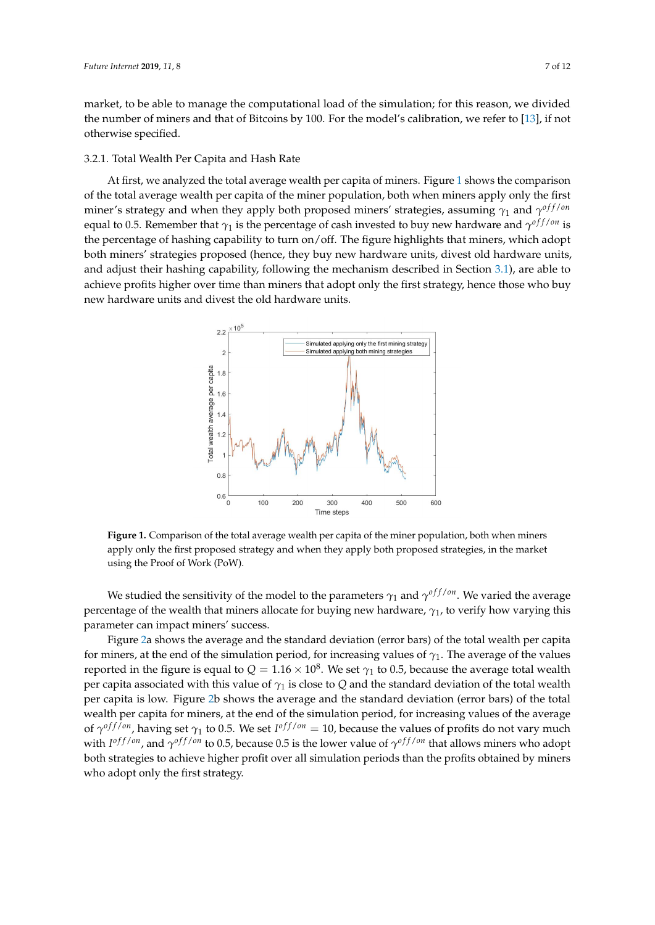market, to be able to manage the computational load of the simulation; for this reason, we divided the number of miners and that of Bitcoins by 100. For the model's calibration, we refer to [\[13\]](#page-10-10), if not otherwise specified.

#### 3.2.1. Total Wealth Per Capita and Hash Rate

At first, we analyzed the total average wealth per capita of miners. Figure [1](#page-6-0) shows the comparison of the total average wealth per capita of the miner population, both when miners apply only the first miner's strategy and when they apply both proposed miners' strategies, assuming  $γ_1$  and  $γ^{off/on}$ equal to 0.5. Remember that  $\gamma_1$  is the percentage of cash invested to buy new hardware and  $\gamma^{off,on}$  is the percentage of hashing capability to turn on/off. The figure highlights that miners, which adopt both miners' strategies proposed (hence, they buy new hardware units, divest old hardware units, and adjust their hashing capability, following the mechanism described in Section [3.1\)](#page-4-0), are able to achieve profits higher over time than miners that adopt only the first strategy, hence those who buy new hardware units and divest the old hardware units.

<span id="page-6-0"></span>

**Figure 1.** Comparison of the total average wealth per capita of the miner population, both when miners apply only the first proposed strategy and when they apply both proposed strategies, in the market using the Proof of Work (PoW).

We studied the sensitivity of the model to the parameters  $\gamma_1$  and  $\gamma^{off/on}.$  We varied the average percentage of the wealth that miners allocate for buying new hardware, *γ*1, to verify how varying this parameter can impact miners' success.

Figure [2a](#page-7-0) shows the average and the standard deviation (error bars) of the total wealth per capita for miners, at the end of the simulation period, for increasing values of  $\gamma_1$ . The average of the values reported in the figure is equal to  $Q = 1.16 \times 10^8$ . We set  $\gamma_1$  to 0.5, because the average total wealth per capita associated with this value of *γ*<sup>1</sup> is close to *Q* and the standard deviation of the total wealth per capita is low. Figure [2b](#page-7-0) shows the average and the standard deviation (error bars) of the total wealth per capita for miners, at the end of the simulation period, for increasing values of the average of  $\gamma^{off-on}$ , having set  $\gamma_1$  to 0.5. We set  $I^{off-on} = 10$ , because the values of profits do not vary much *with I<sup>off/on</sup>,* and  $\gamma$ <sup>off/on</sup> to 0.5, because 0.5 is the lower value of  $\gamma$ <sup>off/on</sup> that allows miners who adopt both strategies to achieve higher profit over all simulation periods than the profits obtained by miners who adopt only the first strategy.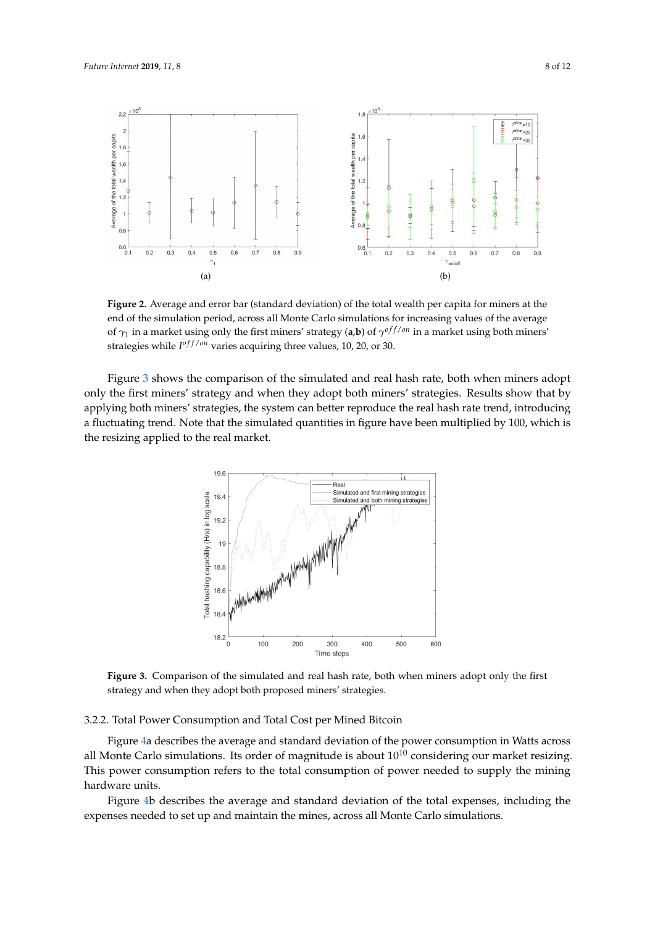<span id="page-7-0"></span>

**Figure 2.** Average and error bar (standard deviation) of the total wealth per capita for miners at the end of the simulation period, across all Monte Carlo simulations for increasing values of the average of  $γ_1$  in a market using only the first miners' strategy (**a,b**) of  $γ^{off/on}$  in a market using both miners' strategies while *I<sup>off/on</sup>* varies acquiring three values, 10, 20, or 30.

<span id="page-7-1"></span>Figure [3](#page-7-1) shows the comparison of the simulated and real hash rate, both when miners adopt only the first miners' strategy and when they adopt both miners' strategies. Results show that by applying both miners' strategies, the system can better reproduce the real hash rate trend, introducing a fluctuating trend. Note that the simulated quantities in figure have been multiplied by 100, which is the resizing applied to the real market.



**Figure 3.** Comparison of the simulated and real hash rate, both when miners adopt only the first strategy and when they adopt both proposed miners' strategies.

## 3.2.2. Total Power Consumption and Total Cost per Mined Bitcoin

Figure [4a](#page-8-0) describes the average and standard deviation of the power consumption in Watts across all Monte Carlo simulations. Its order of magnitude is about  $10^{10}$  considering our market resizing. This power consumption refers to the total consumption of power needed to supply the mining hardware units.

Figure [4b](#page-8-0) describes the average and standard deviation of the total expenses, including the expenses needed to set up and maintain the mines, across all Monte Carlo simulations.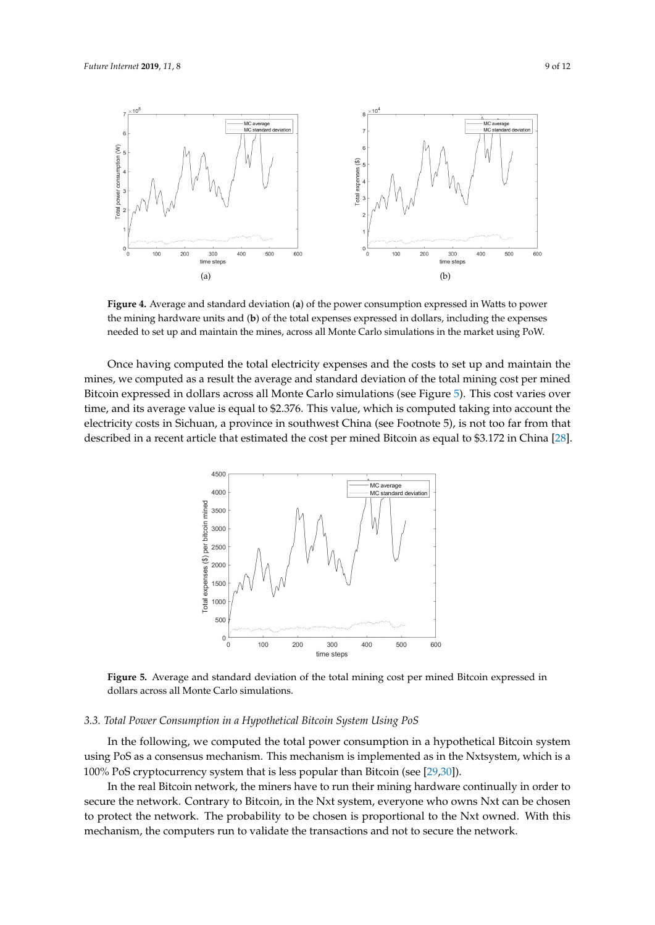<span id="page-8-0"></span>

**Figure 4.** Average and standard deviation (**a**) of the power consumption expressed in Watts to power the mining hardware units and (**b**) of the total expenses expressed in dollars, including the expenses needed to set up and maintain the mines, across all Monte Carlo simulations in the market using PoW.

<span id="page-8-1"></span>Once having computed the total electricity expenses and the costs to set up and maintain the mines, we computed as a result the average and standard deviation of the total mining cost per mined Bitcoin expressed in dollars across all Monte Carlo simulations (see Figure [5\)](#page-8-1). This cost varies over time, and its average value is equal to \$2.376. This value, which is computed taking into account the electricity costs in Sichuan, a province in southwest China (see Footnote 5), is not too far from that described in a recent article that estimated the cost per mined Bitcoin as equal to \$3.172 in China [\[28\]](#page-11-12).



**Figure 5.** Average and standard deviation of the total mining cost per mined Bitcoin expressed in dollars across all Monte Carlo simulations.

#### *3.3. Total Power Consumption in a Hypothetical Bitcoin System Using PoS*

In the following, we computed the total power consumption in a hypothetical Bitcoin system using PoS as a consensus mechanism. This mechanism is implemented as in the Nxtsystem, which is a 100% PoS cryptocurrency system that is less popular than Bitcoin (see [\[29,](#page-11-13)[30\]](#page-11-14)).

In the real Bitcoin network, the miners have to run their mining hardware continually in order to secure the network. Contrary to Bitcoin, in the Nxt system, everyone who owns Nxt can be chosen to protect the network. The probability to be chosen is proportional to the Nxt owned. With this mechanism, the computers run to validate the transactions and not to secure the network.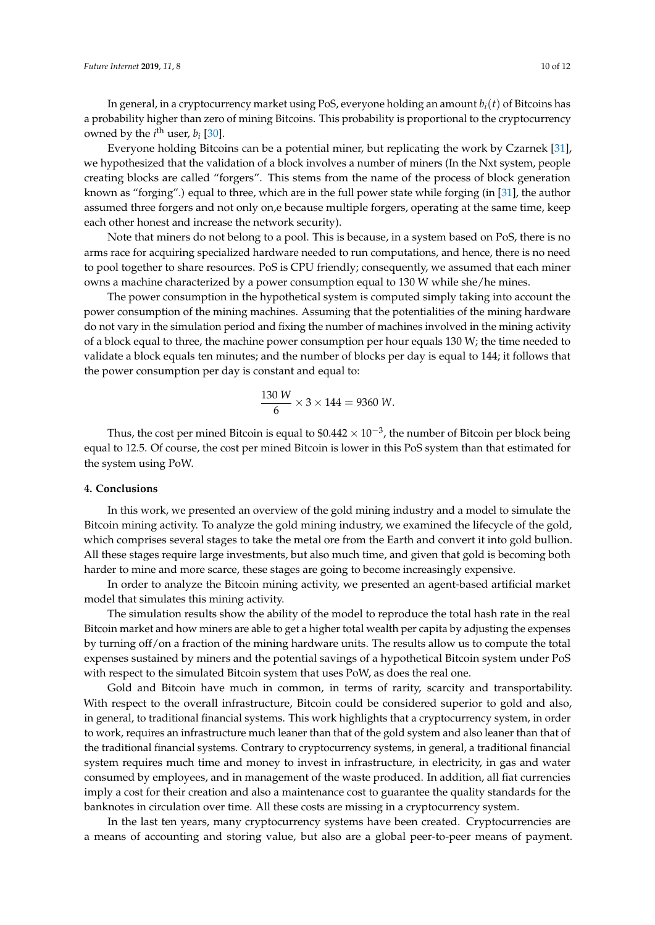In general, in a cryptocurrency market using PoS, everyone holding an amount *bi*(*t*) of Bitcoins has a probability higher than zero of mining Bitcoins. This probability is proportional to the cryptocurrency owned by the  $i^{\text{th}}$  user,  $b_i$  [\[30\]](#page-11-14).

Everyone holding Bitcoins can be a potential miner, but replicating the work by Czarnek [\[31\]](#page-11-15), we hypothesized that the validation of a block involves a number of miners (In the Nxt system, people creating blocks are called "forgers". This stems from the name of the process of block generation known as "forging".) equal to three, which are in the full power state while forging (in [\[31\]](#page-11-15), the author assumed three forgers and not only on,e because multiple forgers, operating at the same time, keep each other honest and increase the network security).

Note that miners do not belong to a pool. This is because, in a system based on PoS, there is no arms race for acquiring specialized hardware needed to run computations, and hence, there is no need to pool together to share resources. PoS is CPU friendly; consequently, we assumed that each miner owns a machine characterized by a power consumption equal to 130 W while she/he mines.

The power consumption in the hypothetical system is computed simply taking into account the power consumption of the mining machines. Assuming that the potentialities of the mining hardware do not vary in the simulation period and fixing the number of machines involved in the mining activity of a block equal to three, the machine power consumption per hour equals 130 W; the time needed to validate a block equals ten minutes; and the number of blocks per day is equal to 144; it follows that the power consumption per day is constant and equal to:

$$
\frac{130 \text{ W}}{6} \times 3 \times 144 = 9360 \text{ W}.
$$

Thus, the cost per mined Bitcoin is equal to \$0.442  $\times$  10<sup>-3</sup>, the number of Bitcoin per block being equal to 12.5. Of course, the cost per mined Bitcoin is lower in this PoS system than that estimated for the system using PoW.

#### <span id="page-9-0"></span>**4. Conclusions**

In this work, we presented an overview of the gold mining industry and a model to simulate the Bitcoin mining activity. To analyze the gold mining industry, we examined the lifecycle of the gold, which comprises several stages to take the metal ore from the Earth and convert it into gold bullion. All these stages require large investments, but also much time, and given that gold is becoming both harder to mine and more scarce, these stages are going to become increasingly expensive.

In order to analyze the Bitcoin mining activity, we presented an agent-based artificial market model that simulates this mining activity.

The simulation results show the ability of the model to reproduce the total hash rate in the real Bitcoin market and how miners are able to get a higher total wealth per capita by adjusting the expenses by turning off/on a fraction of the mining hardware units. The results allow us to compute the total expenses sustained by miners and the potential savings of a hypothetical Bitcoin system under PoS with respect to the simulated Bitcoin system that uses PoW, as does the real one.

Gold and Bitcoin have much in common, in terms of rarity, scarcity and transportability. With respect to the overall infrastructure, Bitcoin could be considered superior to gold and also, in general, to traditional financial systems. This work highlights that a cryptocurrency system, in order to work, requires an infrastructure much leaner than that of the gold system and also leaner than that of the traditional financial systems. Contrary to cryptocurrency systems, in general, a traditional financial system requires much time and money to invest in infrastructure, in electricity, in gas and water consumed by employees, and in management of the waste produced. In addition, all fiat currencies imply a cost for their creation and also a maintenance cost to guarantee the quality standards for the banknotes in circulation over time. All these costs are missing in a cryptocurrency system.

In the last ten years, many cryptocurrency systems have been created. Cryptocurrencies are a means of accounting and storing value, but also are a global peer-to-peer means of payment.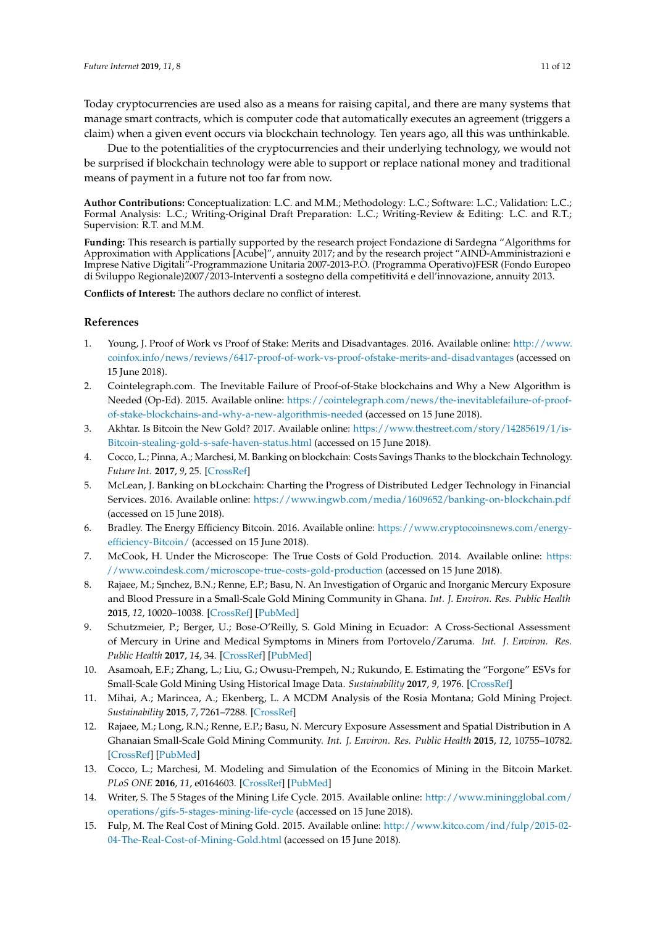Today cryptocurrencies are used also as a means for raising capital, and there are many systems that manage smart contracts, which is computer code that automatically executes an agreement (triggers a claim) when a given event occurs via blockchain technology. Ten years ago, all this was unthinkable.

Due to the potentialities of the cryptocurrencies and their underlying technology, we would not be surprised if blockchain technology were able to support or replace national money and traditional means of payment in a future not too far from now.

**Author Contributions:** Conceptualization: L.C. and M.M.; Methodology: L.C.; Software: L.C.; Validation: L.C.; Formal Analysis: L.C.; Writing-Original Draft Preparation: L.C.; Writing-Review & Editing: L.C. and R.T.; Supervision: R.T. and M.M.

**Funding:** This research is partially supported by the research project Fondazione di Sardegna "Algorithms for Approximation with Applications [Acube]", annuity 2017; and by the research project "AIND-Amministrazioni e Imprese Native Digitali"-Programmazione Unitaria 2007-2013-P.O. (Programma Operativo)FESR (Fondo Europeo di Sviluppo Regionale)2007/2013-Interventi a sostegno della competitivitá e dell'innovazione, annuity 2013.

**Conflicts of Interest:** The authors declare no conflict of interest.

## **References**

- <span id="page-10-0"></span>1. Young, J. Proof of Work vs Proof of Stake: Merits and Disadvantages. 2016. Available online: [http://www.](http://www.coinfox.info/news/reviews/6417-proof-of-work-vs-proof-ofstake-merits-and-disadvantages) [coinfox.info/news/reviews/6417-proof-of-work-vs-proof-ofstake-merits-and-disadvantages](http://www.coinfox.info/news/reviews/6417-proof-of-work-vs-proof-ofstake-merits-and-disadvantages) (accessed on 15 June 2018).
- <span id="page-10-1"></span>2. Cointelegraph.com. The Inevitable Failure of Proof-of-Stake blockchains and Why a New Algorithm is Needed (Op-Ed). 2015. Available online: [https://cointelegraph.com/news/the-inevitablefailure-of-proof](https://cointelegraph.com/news/the-inevitablefailure-of-proof-of-stake-blockchains-and-why-a-new-algorithmis-needed)[of-stake-blockchains-and-why-a-new-algorithmis-needed](https://cointelegraph.com/news/the-inevitablefailure-of-proof-of-stake-blockchains-and-why-a-new-algorithmis-needed) (accessed on 15 June 2018).
- <span id="page-10-2"></span>3. Akhtar. Is Bitcoin the New Gold? 2017. Available online: [https://www.thestreet.com/story/14285619/1/is-](https://www.thestreet.com/story/14285619/1/is-Bitcoin-stealing-gold-s-safe-haven-status.html)[Bitcoin-stealing-gold-s-safe-haven-status.html](https://www.thestreet.com/story/14285619/1/is-Bitcoin-stealing-gold-s-safe-haven-status.html) (accessed on 15 June 2018).
- <span id="page-10-3"></span>4. Cocco, L.; Pinna, A.; Marchesi, M. Banking on blockchain: Costs Savings Thanks to the blockchain Technology. *Future Int.* **2017**, *9*, 25. [\[CrossRef\]](http://dx.doi.org/10.3390/fi9030025)
- <span id="page-10-4"></span>5. McLean, J. Banking on bLockchain: Charting the Progress of Distributed Ledger Technology in Financial Services. 2016. Available online: <https://www.ingwb.com/media/1609652/banking-on-blockchain.pdf> (accessed on 15 June 2018).
- <span id="page-10-5"></span>6. Bradley. The Energy Efficiency Bitcoin. 2016. Available online: [https://www.cryptocoinsnews.com/energy](https://www.cryptocoinsnews.com/energy-efficiency-Bitcoin/)[efficiency-Bitcoin/](https://www.cryptocoinsnews.com/energy-efficiency-Bitcoin/) (accessed on 15 June 2018).
- <span id="page-10-6"></span>7. McCook, H. Under the Microscope: The True Costs of Gold Production. 2014. Available online: [https:](https://www.coindesk.com/microscope-true-costs-gold-production) [//www.coindesk.com/microscope-true-costs-gold-production](https://www.coindesk.com/microscope-true-costs-gold-production) (accessed on 15 June 2018).
- <span id="page-10-7"></span>8. Rajaee, M.; Sunchez, B.N.; Renne, E.P.; Basu, N. An Investigation of Organic and Inorganic Mercury Exposure and Blood Pressure in a Small-Scale Gold Mining Community in Ghana. *Int. J. Environ. Res. Public Health* **2015**, *12*, 10020–10038. [\[CrossRef\]](http://dx.doi.org/10.3390/ijerph120810020) [\[PubMed\]](http://www.ncbi.nlm.nih.gov/pubmed/26308023)
- <span id="page-10-8"></span>9. Schutzmeier, P.; Berger, U.; Bose-O'Reilly, S. Gold Mining in Ecuador: A Cross-Sectional Assessment of Mercury in Urine and Medical Symptoms in Miners from Portovelo/Zaruma. *Int. J. Environ. Res. Public Health* **2017**, *14*, 34. [\[CrossRef\]](http://dx.doi.org/10.3390/ijerph14010034) [\[PubMed\]](http://www.ncbi.nlm.nih.gov/pubmed/28042847)
- 10. Asamoah, E.F.; Zhang, L.; Liu, G.; Owusu-Prempeh, N.; Rukundo, E. Estimating the "Forgone" ESVs for Small-Scale Gold Mining Using Historical Image Data. *Sustainability* **2017**, *9*, 1976. [\[CrossRef\]](http://dx.doi.org/10.3390/su9111976)
- 11. Mihai, A.; Marincea, A.; Ekenberg, L. A MCDM Analysis of the Rosia Montana; Gold Mining Project. *Sustainability* **2015**, *7*, 7261–7288. [\[CrossRef\]](http://dx.doi.org/10.3390/su7067261)
- <span id="page-10-9"></span>12. Rajaee, M.; Long, R.N.; Renne, E.P.; Basu, N. Mercury Exposure Assessment and Spatial Distribution in A Ghanaian Small-Scale Gold Mining Community. *Int. J. Environ. Res. Public Health* **2015**, *12*, 10755–10782. [\[CrossRef\]](http://dx.doi.org/10.3390/ijerph120910755) [\[PubMed\]](http://www.ncbi.nlm.nih.gov/pubmed/26340636)
- <span id="page-10-10"></span>13. Cocco, L.; Marchesi, M. Modeling and Simulation of the Economics of Mining in the Bitcoin Market. *PLoS ONE* **2016**, *11*, e0164603. [\[CrossRef\]](http://dx.doi.org/10.1371/journal.pone.0164603) [\[PubMed\]](http://www.ncbi.nlm.nih.gov/pubmed/27768691)
- <span id="page-10-11"></span>14. Writer, S. The 5 Stages of the Mining Life Cycle. 2015. Available online: [http://www.miningglobal.com/](http://www.miningglobal.com/operations/gifs-5-stages-mining-life-cycle) [operations/gifs-5-stages-mining-life-cycle](http://www.miningglobal.com/operations/gifs-5-stages-mining-life-cycle) (accessed on 15 June 2018).
- <span id="page-10-12"></span>15. Fulp, M. The Real Cost of Mining Gold. 2015. Available online: [http://www.kitco.com/ind/fulp/2015-02-](http://www.kitco.com/ind/fulp/2015-02-04-The-Real-Cost-of-Mining-Gold.html) [04-The-Real-Cost-of-Mining-Gold.html](http://www.kitco.com/ind/fulp/2015-02-04-The-Real-Cost-of-Mining-Gold.html) (accessed on 15 June 2018).